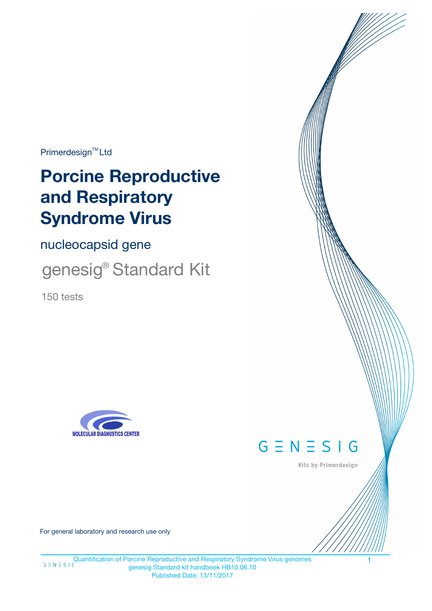Primerdesign<sup>™</sup>Ltd

# **Porcine Reproductive and Respiratory Syndrome Virus**

nucleocapsid gene

genesig® Standard Kit

150 tests





Kits by Primerdesign

For general laboratory and research use only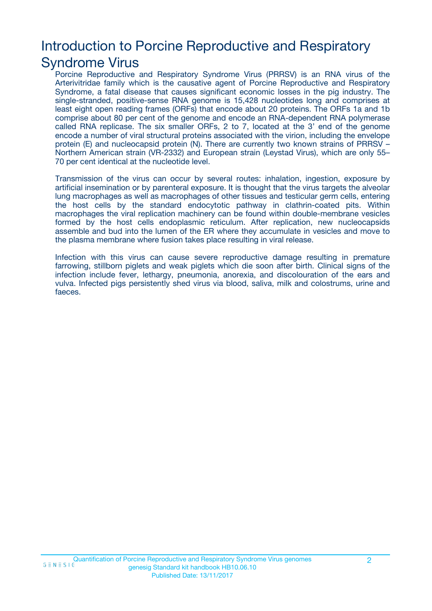# Introduction to Porcine Reproductive and Respiratory

### Syndrome Virus

Porcine Reproductive and Respiratory Syndrome Virus (PRRSV) is an RNA virus of the Arterivitridae family which is the causative agent of Porcine Reproductive and Respiratory Syndrome, a fatal disease that causes significant economic losses in the pig industry. The single-stranded, positive-sense RNA genome is 15,428 nucleotides long and comprises at least eight open reading frames (ORFs) that encode about 20 proteins. The ORFs 1a and 1b comprise about 80 per cent of the genome and encode an RNA-dependent RNA polymerase called RNA replicase. The six smaller ORFs, 2 to 7, located at the 3' end of the genome encode a number of viral structural proteins associated with the virion, including the envelope protein (E) and nucleocapsid protein (N). There are currently two known strains of PRRSV – Northern American strain (VR-2332) and European strain (Leystad Virus), which are only 55– 70 per cent identical at the nucleotide level.

Transmission of the virus can occur by several routes: inhalation, ingestion, exposure by artificial insemination or by parenteral exposure. It is thought that the virus targets the alveolar lung macrophages as well as macrophages of other tissues and testicular germ cells, entering the host cells by the standard endocytotic pathway in clathrin-coated pits. Within macrophages the viral replication machinery can be found within double-membrane vesicles formed by the host cells endoplasmic reticulum. After replication, new nucleocapsids assemble and bud into the lumen of the ER where they accumulate in vesicles and move to the plasma membrane where fusion takes place resulting in viral release.

Infection with this virus can cause severe reproductive damage resulting in premature farrowing, stillborn piglets and weak piglets which die soon after birth. Clinical signs of the infection include fever, lethargy, pneumonia, anorexia, and discolouration of the ears and vulva. Infected pigs persistently shed virus via blood, saliva, milk and colostrums, urine and faeces.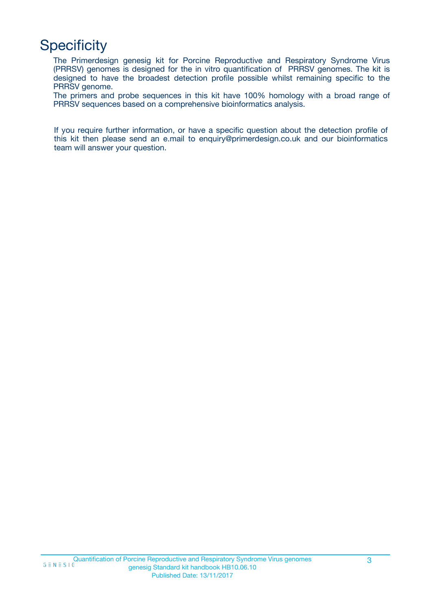# **Specificity**

The Primerdesign genesig kit for Porcine Reproductive and Respiratory Syndrome Virus (PRRSV) genomes is designed for the in vitro quantification of PRRSV genomes. The kit is designed to have the broadest detection profile possible whilst remaining specific to the PRRSV genome.

The primers and probe sequences in this kit have 100% homology with a broad range of PRRSV sequences based on a comprehensive bioinformatics analysis.

If you require further information, or have a specific question about the detection profile of this kit then please send an e.mail to enquiry@primerdesign.co.uk and our bioinformatics team will answer your question.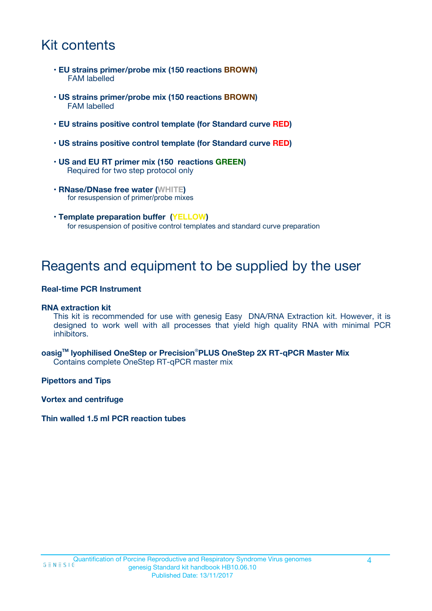# Kit contents

- **EU strains primer/probe mix (150 reactions BROWN)** FAM labelled
- **US strains primer/probe mix (150 reactions BROWN)** FAM labelled
- **EU strains positive control template (for Standard curve RED)**
- **US strains positive control template (for Standard curve RED)**
- **US and EU RT primer mix (150 reactions GREEN)** Required for two step protocol only
- **RNase/DNase free water (WHITE)** for resuspension of primer/probe mixes
- **Template preparation buffer (YELLOW)** for resuspension of positive control templates and standard curve preparation

### Reagents and equipment to be supplied by the user

#### **Real-time PCR Instrument**

#### **RNA extraction kit**

This kit is recommended for use with genesig Easy DNA/RNA Extraction kit. However, it is designed to work well with all processes that yield high quality RNA with minimal PCR inhibitors.

**oasigTM lyophilised OneStep or Precision**®**PLUS OneStep 2X RT-qPCR Master Mix** Contains complete OneStep RT-qPCR master mix

**Pipettors and Tips**

**Vortex and centrifuge**

**Thin walled 1.5 ml PCR reaction tubes**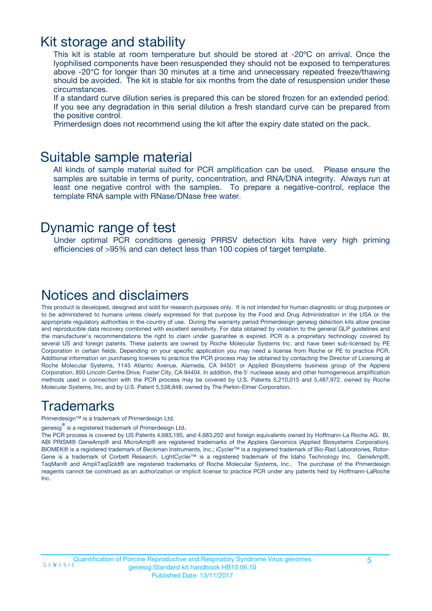### Kit storage and stability

This kit is stable at room temperature but should be stored at -20ºC on arrival. Once the lyophilised components have been resuspended they should not be exposed to temperatures above -20°C for longer than 30 minutes at a time and unnecessary repeated freeze/thawing should be avoided. The kit is stable for six months from the date of resuspension under these circumstances.

If a standard curve dilution series is prepared this can be stored frozen for an extended period. If you see any degradation in this serial dilution a fresh standard curve can be prepared from the positive control.

Primerdesign does not recommend using the kit after the expiry date stated on the pack.

### Suitable sample material

All kinds of sample material suited for PCR amplification can be used. Please ensure the samples are suitable in terms of purity, concentration, and RNA/DNA integrity. Always run at least one negative control with the samples. To prepare a negative-control, replace the template RNA sample with RNase/DNase free water.

### Dynamic range of test

Under optimal PCR conditions genesig PRRSV detection kits have very high priming efficiencies of >95% and can detect less than 100 copies of target template.

### Notices and disclaimers

This product is developed, designed and sold for research purposes only. It is not intended for human diagnostic or drug purposes or to be administered to humans unless clearly expressed for that purpose by the Food and Drug Administration in the USA or the appropriate regulatory authorities in the country of use. During the warranty period Primerdesign genesig detection kits allow precise and reproducible data recovery combined with excellent sensitivity. For data obtained by violation to the general GLP guidelines and the manufacturer's recommendations the right to claim under guarantee is expired. PCR is a proprietary technology covered by several US and foreign patents. These patents are owned by Roche Molecular Systems Inc. and have been sub-licensed by PE Corporation in certain fields. Depending on your specific application you may need a license from Roche or PE to practice PCR. Additional information on purchasing licenses to practice the PCR process may be obtained by contacting the Director of Licensing at Roche Molecular Systems, 1145 Atlantic Avenue, Alameda, CA 94501 or Applied Biosystems business group of the Applera Corporation, 850 Lincoln Centre Drive, Foster City, CA 94404. In addition, the 5' nuclease assay and other homogeneous amplification methods used in connection with the PCR process may be covered by U.S. Patents 5,210,015 and 5,487,972, owned by Roche Molecular Systems, Inc, and by U.S. Patent 5,538,848, owned by The Perkin-Elmer Corporation.

### Trademarks

Primerdesign™ is a trademark of Primerdesign Ltd.

genesig $^\circledR$  is a registered trademark of Primerdesign Ltd.

The PCR process is covered by US Patents 4,683,195, and 4,683,202 and foreign equivalents owned by Hoffmann-La Roche AG. BI, ABI PRISM® GeneAmp® and MicroAmp® are registered trademarks of the Applera Genomics (Applied Biosystems Corporation). BIOMEK® is a registered trademark of Beckman Instruments, Inc.; iCycler™ is a registered trademark of Bio-Rad Laboratories, Rotor-Gene is a trademark of Corbett Research. LightCycler™ is a registered trademark of the Idaho Technology Inc. GeneAmp®, TaqMan® and AmpliTaqGold® are registered trademarks of Roche Molecular Systems, Inc., The purchase of the Primerdesign reagents cannot be construed as an authorization or implicit license to practice PCR under any patents held by Hoffmann-LaRoche Inc.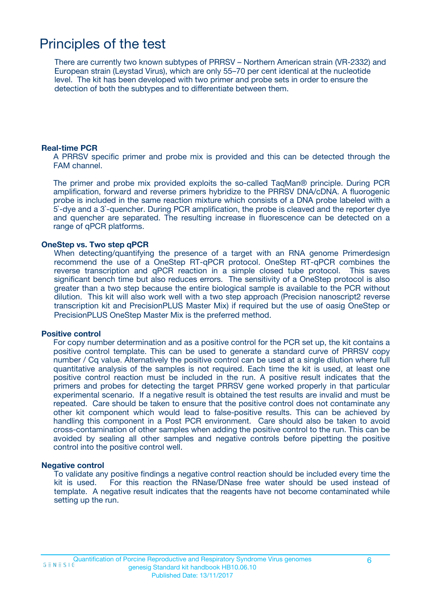# Principles of the test

There are currently two known subtypes of PRRSV – Northern American strain (VR-2332) and European strain (Leystad Virus), which are only 55–70 per cent identical at the nucleotide level. The kit has been developed with two primer and probe sets in order to ensure the detection of both the subtypes and to differentiate between them.

#### **Real-time PCR**

A PRRSV specific primer and probe mix is provided and this can be detected through the FAM channel.

The primer and probe mix provided exploits the so-called TaqMan® principle. During PCR amplification, forward and reverse primers hybridize to the PRRSV DNA/cDNA. A fluorogenic probe is included in the same reaction mixture which consists of a DNA probe labeled with a 5`-dye and a 3`-quencher. During PCR amplification, the probe is cleaved and the reporter dye and quencher are separated. The resulting increase in fluorescence can be detected on a range of qPCR platforms.

#### **OneStep vs. Two step qPCR**

When detecting/quantifying the presence of a target with an RNA genome Primerdesign recommend the use of a OneStep RT-qPCR protocol. OneStep RT-qPCR combines the reverse transcription and qPCR reaction in a simple closed tube protocol. This saves significant bench time but also reduces errors. The sensitivity of a OneStep protocol is also greater than a two step because the entire biological sample is available to the PCR without dilution. This kit will also work well with a two step approach (Precision nanoscript2 reverse transcription kit and PrecisionPLUS Master Mix) if required but the use of oasig OneStep or PrecisionPLUS OneStep Master Mix is the preferred method.

#### **Positive control**

For copy number determination and as a positive control for the PCR set up, the kit contains a positive control template. This can be used to generate a standard curve of PRRSV copy number / Cq value. Alternatively the positive control can be used at a single dilution where full quantitative analysis of the samples is not required. Each time the kit is used, at least one positive control reaction must be included in the run. A positive result indicates that the primers and probes for detecting the target PRRSV gene worked properly in that particular experimental scenario. If a negative result is obtained the test results are invalid and must be repeated. Care should be taken to ensure that the positive control does not contaminate any other kit component which would lead to false-positive results. This can be achieved by handling this component in a Post PCR environment. Care should also be taken to avoid cross-contamination of other samples when adding the positive control to the run. This can be avoided by sealing all other samples and negative controls before pipetting the positive control into the positive control well.

#### **Negative control**

To validate any positive findings a negative control reaction should be included every time the kit is used. For this reaction the RNase/DNase free water should be used instead of template. A negative result indicates that the reagents have not become contaminated while setting up the run.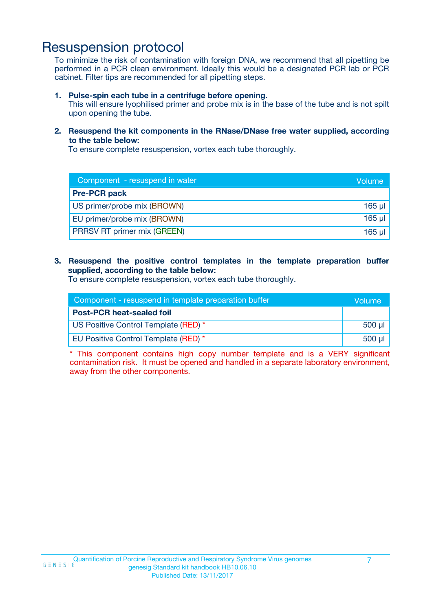### Resuspension protocol

To minimize the risk of contamination with foreign DNA, we recommend that all pipetting be performed in a PCR clean environment. Ideally this would be a designated PCR lab or PCR cabinet. Filter tips are recommended for all pipetting steps.

**1. Pulse-spin each tube in a centrifuge before opening.**

This will ensure lyophilised primer and probe mix is in the base of the tube and is not spilt upon opening the tube.

**2. Resuspend the kit components in the RNase/DNase free water supplied, according to the table below:**

To ensure complete resuspension, vortex each tube thoroughly.

| Component - resuspend in water     |             |
|------------------------------------|-------------|
| <b>Pre-PCR pack</b>                |             |
| US primer/probe mix (BROWN)        | $165$ $\mu$ |
| EU primer/probe mix (BROWN)        | $165$ $\mu$ |
| <b>PRRSV RT primer mix (GREEN)</b> | 165 µl      |

**3. Resuspend the positive control templates in the template preparation buffer supplied, according to the table below:**

To ensure complete resuspension, vortex each tube thoroughly.

| Component - resuspend in template preparation buffer |          |  |
|------------------------------------------------------|----------|--|
| <b>Post-PCR heat-sealed foil</b>                     |          |  |
| US Positive Control Template (RED) *                 | $500$ µl |  |
| EU Positive Control Template (RED) *                 | $500$ µl |  |

\* This component contains high copy number template and is a VERY significant contamination risk. It must be opened and handled in a separate laboratory environment, away from the other components.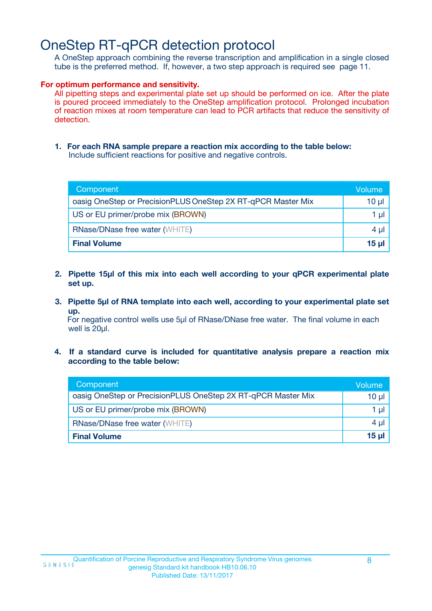# OneStep RT-qPCR detection protocol

A OneStep approach combining the reverse transcription and amplification in a single closed tube is the preferred method. If, however, a two step approach is required see page 11.

#### **For optimum performance and sensitivity.**

All pipetting steps and experimental plate set up should be performed on ice. After the plate is poured proceed immediately to the OneStep amplification protocol. Prolonged incubation of reaction mixes at room temperature can lead to PCR artifacts that reduce the sensitivity of detection.

**1. For each RNA sample prepare a reaction mix according to the table below:** Include sufficient reactions for positive and negative controls.

| Component                                                    | Volume |  |
|--------------------------------------------------------------|--------|--|
| oasig OneStep or PrecisionPLUS OneStep 2X RT-qPCR Master Mix | 10 µl  |  |
| US or EU primer/probe mix (BROWN)                            |        |  |
| <b>RNase/DNase free water (WHITE)</b>                        |        |  |
| <b>Final Volume</b>                                          | 15 ul  |  |

- **2. Pipette 15µl of this mix into each well according to your qPCR experimental plate set up.**
- **3. Pipette 5µl of RNA template into each well, according to your experimental plate set up.**

For negative control wells use 5µl of RNase/DNase free water. The final volume in each well is 20µl.

**4. If a standard curve is included for quantitative analysis prepare a reaction mix according to the table below:**

| Component                                                    | Volume          |  |
|--------------------------------------------------------------|-----------------|--|
| oasig OneStep or PrecisionPLUS OneStep 2X RT-qPCR Master Mix | $10 \mu$        |  |
| US or EU primer/probe mix (BROWN)                            | 1 µI -          |  |
| <b>RNase/DNase free water (WHITE)</b>                        |                 |  |
| <b>Final Volume</b>                                          | 15 <sub>µ</sub> |  |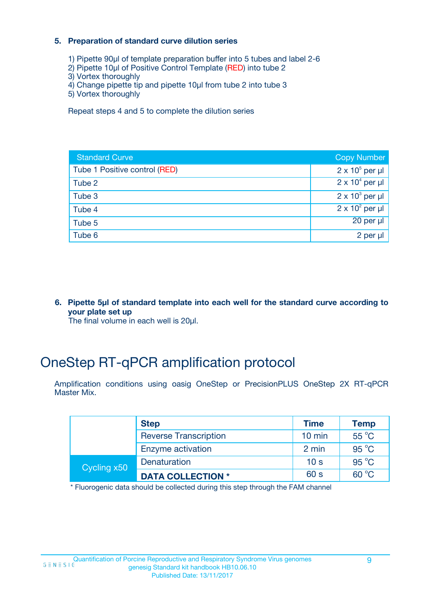#### **5. Preparation of standard curve dilution series**

- 1) Pipette 90µl of template preparation buffer into 5 tubes and label 2-6
- 2) Pipette 10µl of Positive Control Template (RED) into tube 2
- 3) Vortex thoroughly
- 4) Change pipette tip and pipette 10µl from tube 2 into tube 3
- 5) Vortex thoroughly

Repeat steps 4 and 5 to complete the dilution series

| <b>Standard Curve</b>         | <b>Copy Number</b>     |
|-------------------------------|------------------------|
| Tube 1 Positive control (RED) | $2 \times 10^5$ per µl |
| Tube 2                        | $2 \times 10^4$ per µl |
| Tube 3                        | $2 \times 10^3$ per µl |
| Tube 4                        | $2 \times 10^2$ per µl |
| Tube 5                        | $20$ per $\mu$         |
| Tube 6                        | 2 per µl               |

**6. Pipette 5µl of standard template into each well for the standard curve according to your plate set up**

The final volume in each well is 20µl.

# OneStep RT-qPCR amplification protocol

Amplification conditions using oasig OneStep or PrecisionPLUS OneStep 2X RT-qPCR Master Mix.

| <b>Step</b> |                              | <b>Time</b>      | <b>Temp</b>    |
|-------------|------------------------------|------------------|----------------|
|             | <b>Reverse Transcription</b> | $10 \text{ min}$ | 55 °C          |
|             | Enzyme activation            | 2 min            | $95^{\circ}$ C |
| Cycling x50 | Denaturation                 | 10 <sub>s</sub>  | $95^{\circ}$ C |
|             | <b>DATA COLLECTION *</b>     | 60 s             | $60^{\circ}$ C |

\* Fluorogenic data should be collected during this step through the FAM channel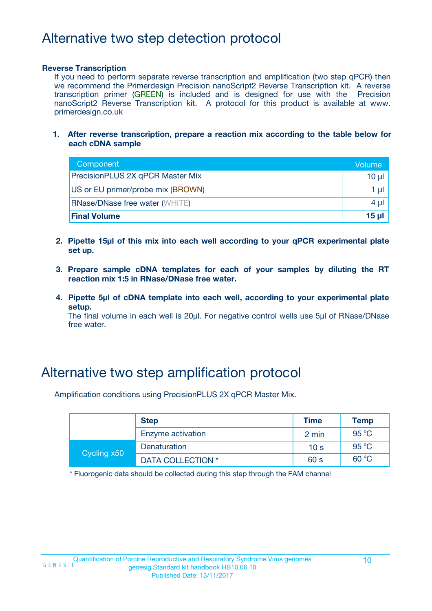# Alternative two step detection protocol

#### **Reverse Transcription**

If you need to perform separate reverse transcription and amplification (two step qPCR) then we recommend the Primerdesign Precision nanoScript2 Reverse Transcription kit. A reverse transcription primer (GREEN) is included and is designed for use with the Precision nanoScript2 Reverse Transcription kit. A protocol for this product is available at www. primerdesign.co.uk

**1. After reverse transcription, prepare a reaction mix according to the table below for each cDNA sample**

| Component                             | Volume     |
|---------------------------------------|------------|
| PrecisionPLUS 2X qPCR Master Mix      | 10 ul      |
| US or EU primer/probe mix (BROWN)     | 1 µl       |
| <b>RNase/DNase free water (WHITE)</b> | $4 \mu$    |
| <b>Final Volume</b>                   | $15$ $\mu$ |

- **2. Pipette 15µl of this mix into each well according to your qPCR experimental plate set up.**
- **3. Prepare sample cDNA templates for each of your samples by diluting the RT reaction mix 1:5 in RNase/DNase free water.**
- **4. Pipette 5µl of cDNA template into each well, according to your experimental plate setup.**

The final volume in each well is 20µl. For negative control wells use 5µl of RNase/DNase free water.

### Alternative two step amplification protocol

Amplification conditions using PrecisionPLUS 2X qPCR Master Mix.

|                   | <b>Step</b>       |                 | Temp  |
|-------------------|-------------------|-----------------|-------|
| Enzyme activation |                   | 2 min           | 95 °C |
| Cycling x50       | Denaturation      | 10 <sub>s</sub> | 95 °C |
|                   | DATA COLLECTION * | 60 s            | 60 °C |

\* Fluorogenic data should be collected during this step through the FAM channel